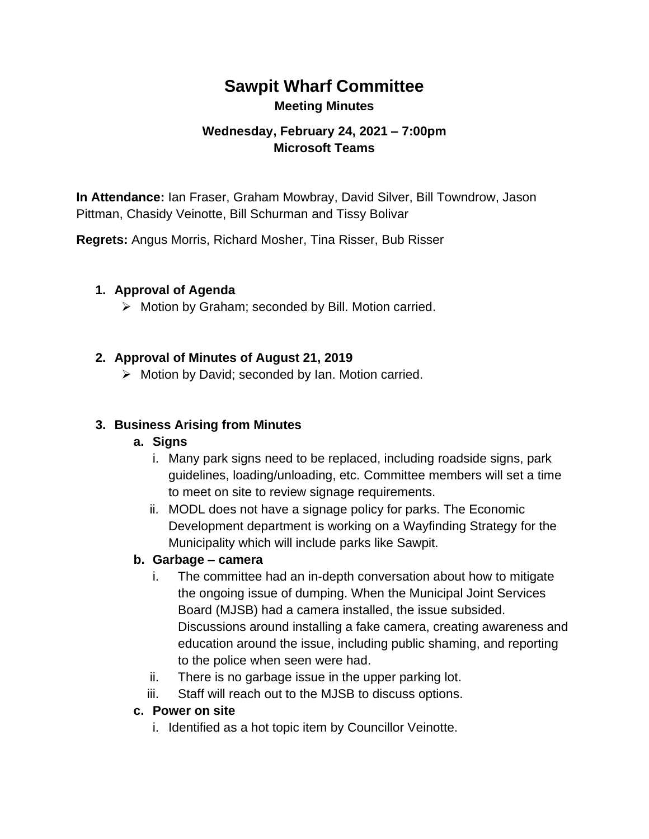# **Sawpit Wharf Committee Meeting Minutes**

### **Wednesday, February 24, 2021 – 7:00pm Microsoft Teams**

**In Attendance:** Ian Fraser, Graham Mowbray, David Silver, Bill Towndrow, Jason Pittman, Chasidy Veinotte, Bill Schurman and Tissy Bolivar

**Regrets:** Angus Morris, Richard Mosher, Tina Risser, Bub Risser

#### **1. Approval of Agenda**

➢ Motion by Graham; seconded by Bill. Motion carried.

#### **2. Approval of Minutes of August 21, 2019**

➢ Motion by David; seconded by Ian. Motion carried.

#### **3. Business Arising from Minutes**

#### **a. Signs**

- i. Many park signs need to be replaced, including roadside signs, park guidelines, loading/unloading, etc. Committee members will set a time to meet on site to review signage requirements.
- ii. MODL does not have a signage policy for parks. The Economic Development department is working on a Wayfinding Strategy for the Municipality which will include parks like Sawpit.

#### **b. Garbage – camera**

- i. The committee had an in-depth conversation about how to mitigate the ongoing issue of dumping. When the Municipal Joint Services Board (MJSB) had a camera installed, the issue subsided. Discussions around installing a fake camera, creating awareness and education around the issue, including public shaming, and reporting to the police when seen were had.
- ii. There is no garbage issue in the upper parking lot.
- iii. Staff will reach out to the MJSB to discuss options.

#### **c. Power on site**

i. Identified as a hot topic item by Councillor Veinotte.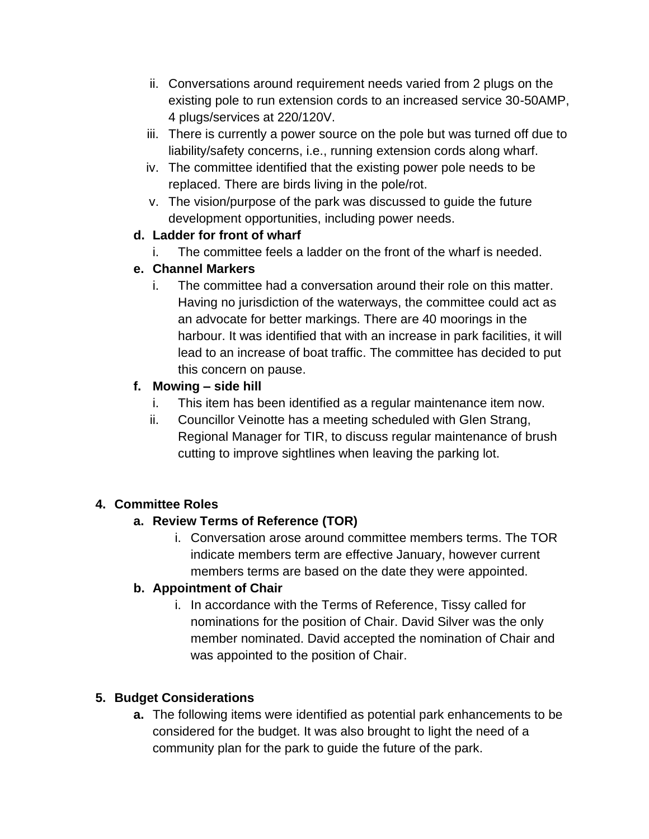- ii. Conversations around requirement needs varied from 2 plugs on the existing pole to run extension cords to an increased service 30-50AMP, 4 plugs/services at 220/120V.
- iii. There is currently a power source on the pole but was turned off due to liability/safety concerns, i.e., running extension cords along wharf.
- iv. The committee identified that the existing power pole needs to be replaced. There are birds living in the pole/rot.
- v. The vision/purpose of the park was discussed to guide the future development opportunities, including power needs.

### **d. Ladder for front of wharf**

i. The committee feels a ladder on the front of the wharf is needed.

## **e. Channel Markers**

i. The committee had a conversation around their role on this matter. Having no jurisdiction of the waterways, the committee could act as an advocate for better markings. There are 40 moorings in the harbour. It was identified that with an increase in park facilities, it will lead to an increase of boat traffic. The committee has decided to put this concern on pause.

## **f. Mowing – side hill**

- i. This item has been identified as a regular maintenance item now.
- ii. Councillor Veinotte has a meeting scheduled with Glen Strang, Regional Manager for TIR, to discuss regular maintenance of brush cutting to improve sightlines when leaving the parking lot.

## **4. Committee Roles**

## **a. Review Terms of Reference (TOR)**

i. Conversation arose around committee members terms. The TOR indicate members term are effective January, however current members terms are based on the date they were appointed.

## **b. Appointment of Chair**

i. In accordance with the Terms of Reference, Tissy called for nominations for the position of Chair. David Silver was the only member nominated. David accepted the nomination of Chair and was appointed to the position of Chair.

# **5. Budget Considerations**

**a.** The following items were identified as potential park enhancements to be considered for the budget. It was also brought to light the need of a community plan for the park to guide the future of the park.